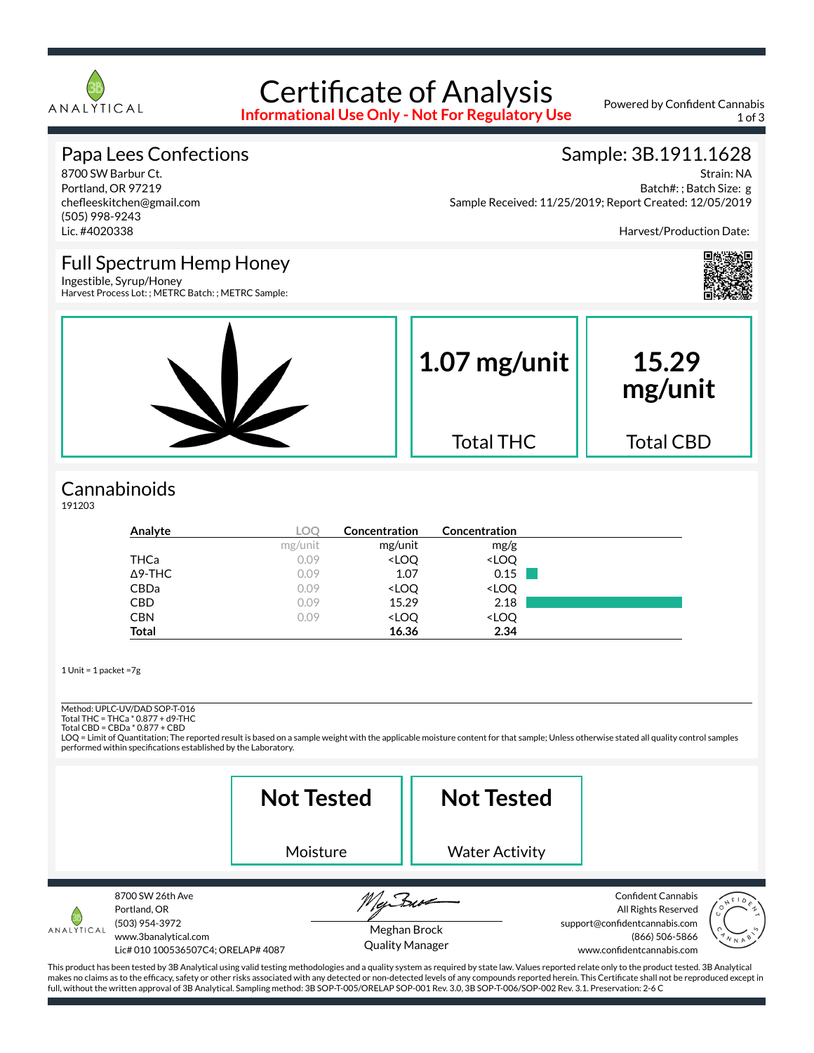

# Certificate of Analysis

**Informational Use Only - Not For Regulatory Use**

Powered by Confident Cannabis 1 of 3

#### Papa Lees Confections

8700 SW Barbur Ct. Portland, OR 97219 chefleeskitchen@gmail.com (505) 998-9243 Lic. #4020338

#### Sample: 3B.1911.1628

Strain: NA Batch#: ; Batch Size: g Sample Received: 11/25/2019; Report Created: 12/05/2019

Harvest/Production Date:

#### Full Spectrum Hemp Honey

Ingestible, Syrup/Honey Harvest Process Lot: ; METRC Batch: ; METRC Sample:



## **Cannabinoids**

191203

| Analyte        | LOC     | Concentration                                            | Concentration                |  |
|----------------|---------|----------------------------------------------------------|------------------------------|--|
|                | mg/unit | mg/unit                                                  | mg/g                         |  |
| <b>THCa</b>    | 0.09    | <loq< td=""><td><loq< td=""><td></td></loq<></td></loq<> | <loq< td=""><td></td></loq<> |  |
| $\Delta$ 9-THC | 0.09    | 1.07                                                     | 0.15                         |  |
| CBDa           | 0.09    | <loq< td=""><td><loq< td=""><td></td></loq<></td></loq<> | <loq< td=""><td></td></loq<> |  |
| <b>CBD</b>     | 0.09    | 15.29                                                    | 2.18                         |  |
| <b>CBN</b>     | 0.09    | <loq< td=""><td><loq< td=""><td></td></loq<></td></loq<> | <loq< td=""><td></td></loq<> |  |
| <b>Total</b>   |         | 16.36                                                    | 2.34                         |  |

1 Unit = 1 packet =7g

Method: UPLC-UV/DAD SOP-T-016

Total THC = THCa \* 0.877 + d9-THC Total CBD = CBDa \* 0.877 + CBD

LOQ = Limit of Quantitation; The reported result is based on a sample weight with the applicable moisture content for that sample; Unless otherwise stated all quality control samples performed within specifications established by the Laboratory.

**Not Tested** Moisture **Not Tested** Water Activity 8700 SW 26th Ave Portland, OR (503) 954-3972 www.3banalytical.com Lic# 010 100536507C4; ORELAP# 4087 Confident Cannabis All Rights Reserved support@confidentcannabis.com (866) 506-5866 www.confidentcannabis.com Meghan Brock Quality Manager

This product has been tested by 3B Analytical using valid testing methodologies and a quality system as required by state law. Values reported relate only to the product tested. 3B Analytical makes no claims as to the efficacy, safety or other risks associated with any detected or non-detected levels of any compounds reported herein. This Certificate shall not be reproduced except in full, without the written approval of 3B Analytical. Sampling method: 3B SOP-T-005/ORELAP SOP-001 Rev. 3.0, 3B SOP-T-006/SOP-002 Rev. 3.1. Preservation: 2-6 C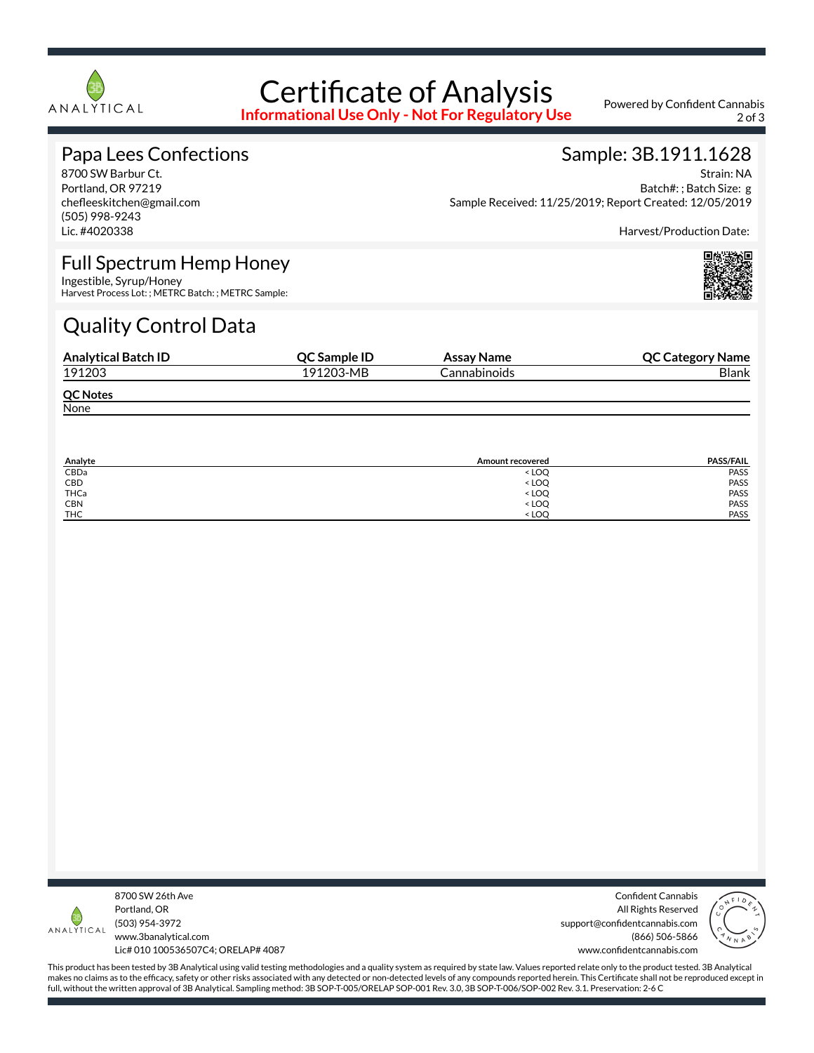

## Certificate of Analysis

**Informational Use Only - Not For Regulatory Use**

Powered by Confident Cannabis 2 of 3

#### Papa Lees Confections

8700 SW Barbur Ct. Portland, OR 97219 chefleeskitchen@gmail.com (505) 998-9243 Lic. #4020338

### Sample: 3B.1911.1628

Strain: NA Batch#: ; Batch Size: g Sample Received: 11/25/2019; Report Created: 12/05/2019

Harvest/Production Date:

## Full Spectrum Hemp Honey

Ingestible, Syrup/Honey Harvest Process Lot: ; METRC Batch: ; METRC Sample:

## Quality Control Data

| <b>Analytical Batch ID</b> | <b>OC Sample ID</b> | Assay Name   | <b>QC Category Name</b> |
|----------------------------|---------------------|--------------|-------------------------|
| 191203                     | 191203-MB           | Cannabinoids | <b>Blank</b>            |
| <b>QC Notes</b>            |                     |              |                         |
| None                       |                     |              |                         |

| Analyte    | <b>Amount recovered</b>          | <b>PASS/FAIL</b> |
|------------|----------------------------------|------------------|
| CBDa       | <loq< td=""><td>PASS</td></loq<> | PASS             |
| CBD        | < LOQ                            | PASS             |
| THCa       | <loq< td=""><td>PASS</td></loq<> | PASS             |
| <b>CBN</b> | < LOQ                            | PASS             |
| <b>THC</b> | <loo< td=""><td>PASS</td></loo<> | PASS             |



8700 SW 26th Ave Portland, OR (503) 954-3972 www.3banalytical.com Lic# 010 100536507C4; ORELAP# 4087

Confident Cannabis All Rights Reserved support@confidentcannabis.com (866) 506-5866 www.confidentcannabis.com



This product has been tested by 3B Analytical using valid testing methodologies and a quality system as required by state law. Values reported relate only to the product tested. 3B Analytical makes no claims as to the efficacy, safety or other risks associated with any detected or non-detected levels of any compounds reported herein. This Certificate shall not be reproduced except in full, without the written approval of 3B Analytical. Sampling method: 3B SOP-T-005/ORELAP SOP-001 Rev. 3.0, 3B SOP-T-006/SOP-002 Rev. 3.1. Preservation: 2-6 C